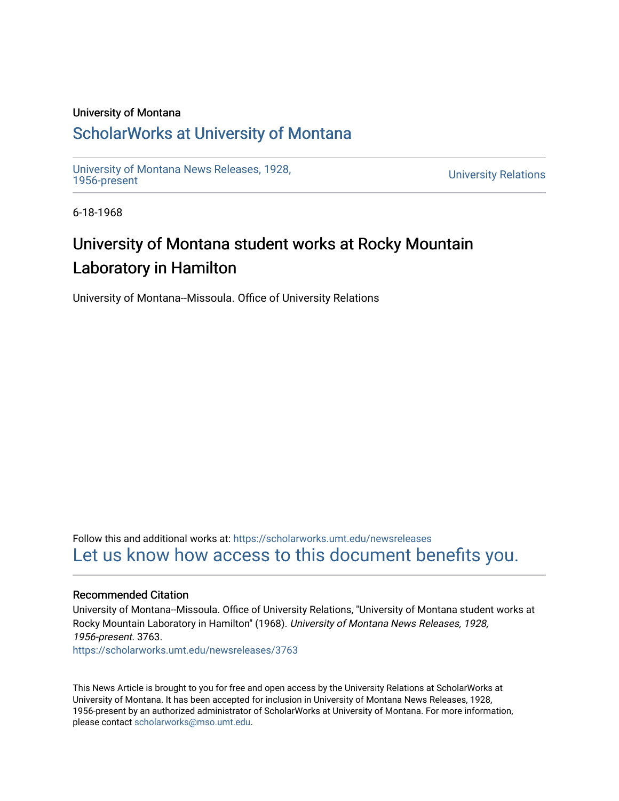### University of Montana

### [ScholarWorks at University of Montana](https://scholarworks.umt.edu/)

[University of Montana News Releases, 1928,](https://scholarworks.umt.edu/newsreleases) 

**University Relations** 

6-18-1968

# University of Montana student works at Rocky Mountain Laboratory in Hamilton

University of Montana--Missoula. Office of University Relations

Follow this and additional works at: [https://scholarworks.umt.edu/newsreleases](https://scholarworks.umt.edu/newsreleases?utm_source=scholarworks.umt.edu%2Fnewsreleases%2F3763&utm_medium=PDF&utm_campaign=PDFCoverPages) [Let us know how access to this document benefits you.](https://goo.gl/forms/s2rGfXOLzz71qgsB2) 

### Recommended Citation

University of Montana--Missoula. Office of University Relations, "University of Montana student works at Rocky Mountain Laboratory in Hamilton" (1968). University of Montana News Releases, 1928, 1956-present. 3763.

[https://scholarworks.umt.edu/newsreleases/3763](https://scholarworks.umt.edu/newsreleases/3763?utm_source=scholarworks.umt.edu%2Fnewsreleases%2F3763&utm_medium=PDF&utm_campaign=PDFCoverPages) 

This News Article is brought to you for free and open access by the University Relations at ScholarWorks at University of Montana. It has been accepted for inclusion in University of Montana News Releases, 1928, 1956-present by an authorized administrator of ScholarWorks at University of Montana. For more information, please contact [scholarworks@mso.umt.edu.](mailto:scholarworks@mso.umt.edu)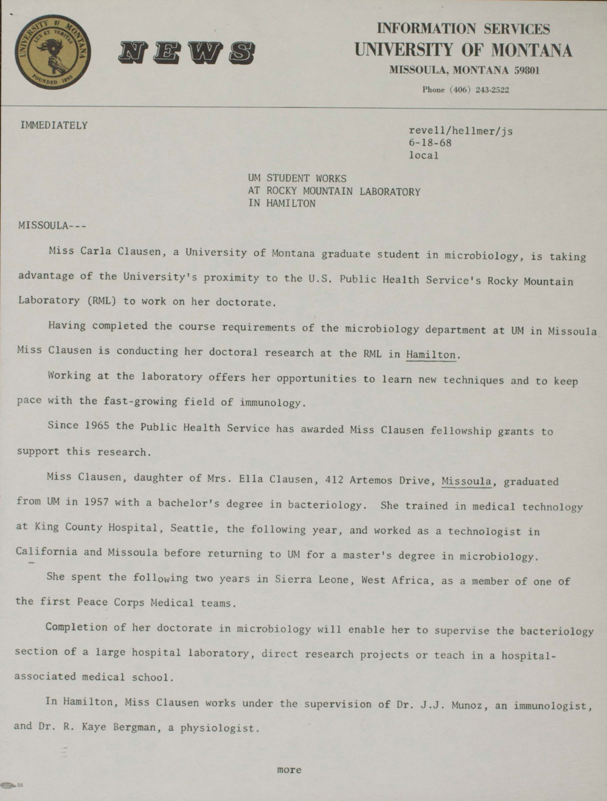

## **INFORMATION SERVICES UNIVERSITY OF MONTANA**

MISSOULA, MONTANA 59801

**Phone (406) 243-2522**

IMMEDIATELY revell/hellmer/js 6-18-68 local

> UM STUDENT WORKS AT ROCKY MOUNTAIN LABORATORY IN HAMILTON

MISSOULA---

55

Miss Carla Clausen, a University of Montana graduate student in microbiology, is taking advantage of the University's proximity to the U.S. Public Health Service's Rocky Mountain Laboratory (RML) to work on her doctorate.

Having completed the course requirements of the microbiology department at UM in Missoula Miss Clausen is conducting her doctoral research at the RML in Hamilton.

Working at the laboratory offers her opportunities to learn new techniques and to keep pace with the fast-growing field of immunology.

Since 1965 the Public Health Service has awarded Miss Clausen fellowship grants to support this research.

Miss Clausen, daughter of Mrs. Ella Clausen, 412 Artemos Drive, Missoula, graduated from UM in 1957 with a bachelor's degree in bacteriology. She trained in medical technology at King County Hospital, Seattle, the following year, and worked as a technologist in California and Missoula before returning to UM for a master's degree in microbiology.

She spent the following two years in Sierra Leone, West Africa, as a member of one of the first Peace Corps Medical teams.

Completion of her doctorate in microbiology will enable her to supervise the bacteriology section of a large hospital laboratory, direct research projects or teach in a hospitalassociated medical school.

In Hamilton, Miss Clausen works under the supervision of Dr. J.J. Munoz, an immunologist, and Dr. R. Kaye Bergman, a physiologist.

more